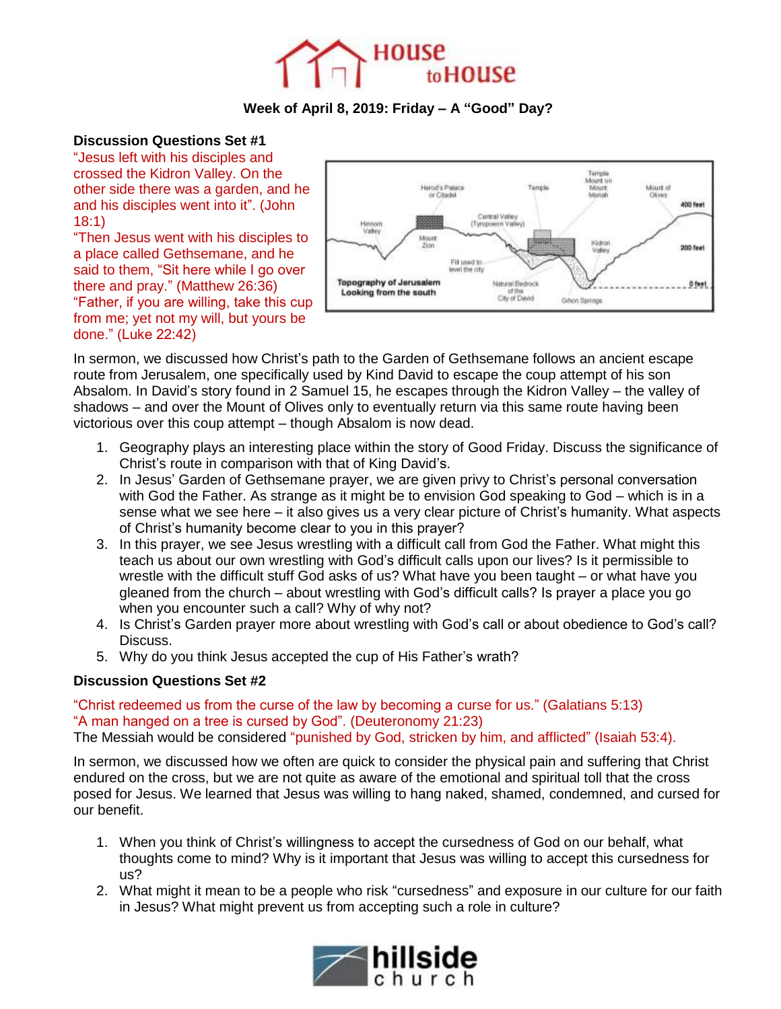

# **Week of April 8, 2019: Friday – A "Good" Day?**

## **Discussion Questions Set #1**

"Jesus left with his disciples and crossed the Kidron Valley. On the other side there was a garden, and he and his disciples went into it". (John 18:1)

"Then Jesus went with his disciples to a place called Gethsemane, and he said to them, "Sit here while I go over there and pray." (Matthew 26:36) "Father, if you are willing, take this cup from me; yet not my will, but yours be done." (Luke 22:42)



In sermon, we discussed how Christ's path to the Garden of Gethsemane follows an ancient escape route from Jerusalem, one specifically used by Kind David to escape the coup attempt of his son Absalom. In David's story found in 2 Samuel 15, he escapes through the Kidron Valley – the valley of shadows – and over the Mount of Olives only to eventually return via this same route having been victorious over this coup attempt – though Absalom is now dead.

- 1. Geography plays an interesting place within the story of Good Friday. Discuss the significance of Christ's route in comparison with that of King David's.
- 2. In Jesus' Garden of Gethsemane prayer, we are given privy to Christ's personal conversation with God the Father. As strange as it might be to envision God speaking to God – which is in a sense what we see here – it also gives us a very clear picture of Christ's humanity. What aspects of Christ's humanity become clear to you in this prayer?
- 3. In this prayer, we see Jesus wrestling with a difficult call from God the Father. What might this teach us about our own wrestling with God's difficult calls upon our lives? Is it permissible to wrestle with the difficult stuff God asks of us? What have you been taught – or what have you gleaned from the church – about wrestling with God's difficult calls? Is prayer a place you go when you encounter such a call? Why of why not?
- 4. Is Christ's Garden prayer more about wrestling with God's call or about obedience to God's call? Discuss.
- 5. Why do you think Jesus accepted the cup of His Father's wrath?

## **Discussion Questions Set #2**

#### "Christ redeemed us from the curse of the law by becoming a curse for us." (Galatians 5:13) "A man hanged on a tree is cursed by God". (Deuteronomy 21:23) The Messiah would be considered "punished by God, stricken by him, and afflicted" (Isaiah 53:4).

In sermon, we discussed how we often are quick to consider the physical pain and suffering that Christ endured on the cross, but we are not quite as aware of the emotional and spiritual toll that the cross posed for Jesus. We learned that Jesus was willing to hang naked, shamed, condemned, and cursed for our benefit.

- 1. When you think of Christ's willingness to accept the cursedness of God on our behalf, what thoughts come to mind? Why is it important that Jesus was willing to accept this cursedness for us?
- 2. What might it mean to be a people who risk "cursedness" and exposure in our culture for our faith in Jesus? What might prevent us from accepting such a role in culture?